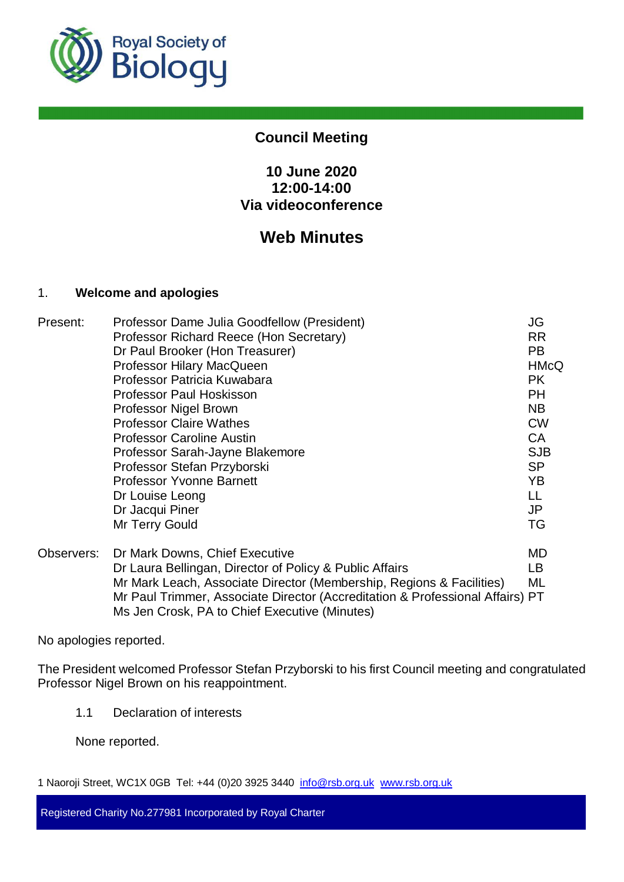

# **Council Meeting**

# **10 June 2020 12:00-14:00 Via videoconference**

# **Web Minutes**

## 1. **Welcome and apologies**

| Present:   | Professor Dame Julia Goodfellow (President)                                                                                    | JG          |
|------------|--------------------------------------------------------------------------------------------------------------------------------|-------------|
|            | Professor Richard Reece (Hon Secretary)                                                                                        | <b>RR</b>   |
|            | Dr Paul Brooker (Hon Treasurer)                                                                                                | PB.         |
|            | <b>Professor Hilary MacQueen</b>                                                                                               | <b>HMcQ</b> |
|            | Professor Patricia Kuwabara                                                                                                    | <b>PK</b>   |
|            | <b>Professor Paul Hoskisson</b>                                                                                                | PH.         |
|            | Professor Nigel Brown                                                                                                          | NB.         |
|            | <b>Professor Claire Wathes</b>                                                                                                 | <b>CW</b>   |
|            | <b>Professor Caroline Austin</b>                                                                                               | <b>CA</b>   |
|            | Professor Sarah-Jayne Blakemore                                                                                                | <b>SJB</b>  |
|            | Professor Stefan Przyborski                                                                                                    | <b>SP</b>   |
|            | <b>Professor Yvonne Barnett</b>                                                                                                | YB.         |
|            | Dr Louise Leong                                                                                                                | LL          |
|            | Dr Jacqui Piner                                                                                                                | JP          |
|            | Mr Terry Gould                                                                                                                 | TG          |
| Observers: | Dr Mark Downs, Chief Executive                                                                                                 | MD          |
|            | Dr Laura Bellingan, Director of Policy & Public Affairs                                                                        | LB.         |
|            | Mr Mark Leach, Associate Director (Membership, Regions & Facilities)                                                           | ML          |
|            | Mr Paul Trimmer, Associate Director (Accreditation & Professional Affairs) PT<br>Ms Jen Crosk, PA to Chief Executive (Minutes) |             |

No apologies reported.

The President welcomed Professor Stefan Przyborski to his first Council meeting and congratulated Professor Nigel Brown on his reappointment.

1.1 Declaration of interests

None reported.

1 Naoroji Street, WC1X 0GB Tel: +44 (0)20 3925 3440 info@rsb.org.uk www.rsb.org.uk

Registered Charity No.277981 Incorporated by Royal Charter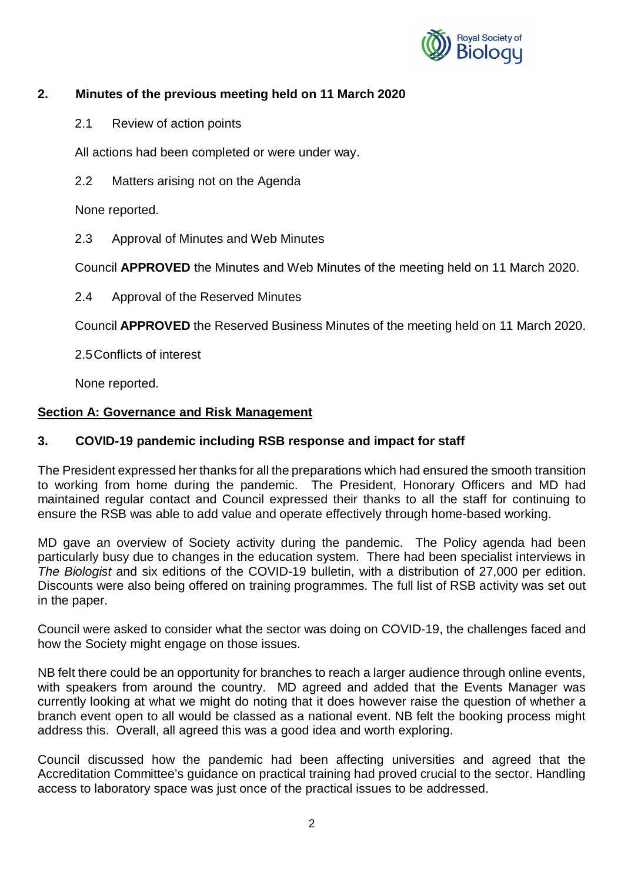

# **2. Minutes of the previous meeting held on 11 March 2020**

2.1 Review of action points

All actions had been completed or were under way.

2.2 Matters arising not on the Agenda

None reported.

2.3 Approval of Minutes and Web Minutes

Council **APPROVED** the Minutes and Web Minutes of the meeting held on 11 March 2020.

2.4 Approval of the Reserved Minutes

Council **APPROVED** the Reserved Business Minutes of the meeting held on 11 March 2020.

2.5 Conflicts of interest

None reported.

## **Section A: Governance and Risk Management**

## **3. COVID-19 pandemic including RSB response and impact for staff**

The President expressed her thanks for all the preparations which had ensured the smooth transition to working from home during the pandemic. The President, Honorary Officers and MD had maintained regular contact and Council expressed their thanks to all the staff for continuing to ensure the RSB was able to add value and operate effectively through home-based working.

MD gave an overview of Society activity during the pandemic. The Policy agenda had been particularly busy due to changes in the education system. There had been specialist interviews in *The Biologist* and six editions of the COVID-19 bulletin, with a distribution of 27,000 per edition. Discounts were also being offered on training programmes. The full list of RSB activity was set out in the paper.

Council were asked to consider what the sector was doing on COVID-19, the challenges faced and how the Society might engage on those issues.

NB felt there could be an opportunity for branches to reach a larger audience through online events, with speakers from around the country. MD agreed and added that the Events Manager was currently looking at what we might do noting that it does however raise the question of whether a branch event open to all would be classed as a national event. NB felt the booking process might address this. Overall, all agreed this was a good idea and worth exploring.

Council discussed how the pandemic had been affecting universities and agreed that the Accreditation Committee's guidance on practical training had proved crucial to the sector. Handling access to laboratory space was just once of the practical issues to be addressed.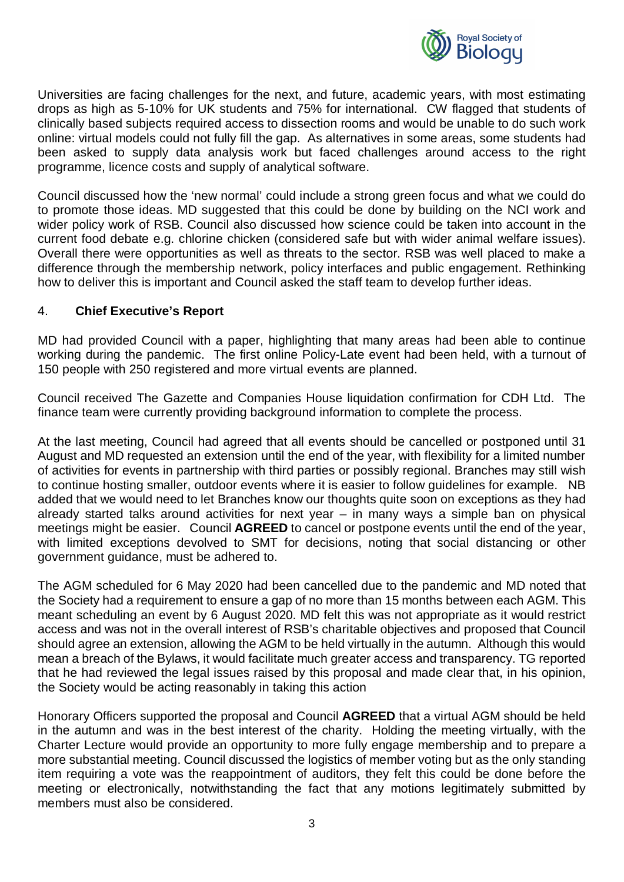

Universities are facing challenges for the next, and future, academic years, with most estimating drops as high as 5-10% for UK students and 75% for international. CW flagged that students of clinically based subjects required access to dissection rooms and would be unable to do such work online: virtual models could not fully fill the gap. As alternatives in some areas, some students had been asked to supply data analysis work but faced challenges around access to the right programme, licence costs and supply of analytical software.

Council discussed how the 'new normal' could include a strong green focus and what we could do to promote those ideas. MD suggested that this could be done by building on the NCI work and wider policy work of RSB. Council also discussed how science could be taken into account in the current food debate e.g. chlorine chicken (considered safe but with wider animal welfare issues). Overall there were opportunities as well as threats to the sector. RSB was well placed to make a difference through the membership network, policy interfaces and public engagement. Rethinking how to deliver this is important and Council asked the staff team to develop further ideas.

## 4. **Chief Executive's Report**

MD had provided Council with a paper, highlighting that many areas had been able to continue working during the pandemic. The first online Policy-Late event had been held, with a turnout of 150 people with 250 registered and more virtual events are planned.

Council received The Gazette and Companies House liquidation confirmation for CDH Ltd. The finance team were currently providing background information to complete the process.

At the last meeting, Council had agreed that all events should be cancelled or postponed until 31 August and MD requested an extension until the end of the year, with flexibility for a limited number of activities for events in partnership with third parties or possibly regional. Branches may still wish to continue hosting smaller, outdoor events where it is easier to follow guidelines for example. NB added that we would need to let Branches know our thoughts quite soon on exceptions as they had already started talks around activities for next year – in many ways a simple ban on physical meetings might be easier. Council **AGREED** to cancel or postpone events until the end of the year, with limited exceptions devolved to SMT for decisions, noting that social distancing or other government guidance, must be adhered to.

The AGM scheduled for 6 May 2020 had been cancelled due to the pandemic and MD noted that the Society had a requirement to ensure a gap of no more than 15 months between each AGM. This meant scheduling an event by 6 August 2020. MD felt this was not appropriate as it would restrict access and was not in the overall interest of RSB's charitable objectives and proposed that Council should agree an extension, allowing the AGM to be held virtually in the autumn. Although this would mean a breach of the Bylaws, it would facilitate much greater access and transparency. TG reported that he had reviewed the legal issues raised by this proposal and made clear that, in his opinion, the Society would be acting reasonably in taking this action

Honorary Officers supported the proposal and Council **AGREED** that a virtual AGM should be held in the autumn and was in the best interest of the charity. Holding the meeting virtually, with the Charter Lecture would provide an opportunity to more fully engage membership and to prepare a more substantial meeting. Council discussed the logistics of member voting but as the only standing item requiring a vote was the reappointment of auditors, they felt this could be done before the meeting or electronically, notwithstanding the fact that any motions legitimately submitted by members must also be considered.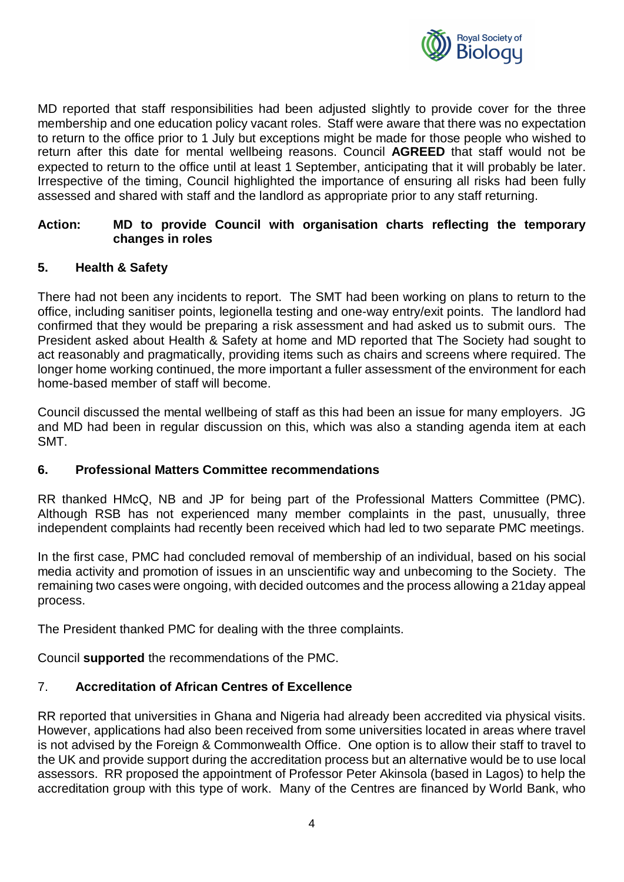

MD reported that staff responsibilities had been adjusted slightly to provide cover for the three membership and one education policy vacant roles. Staff were aware that there was no expectation to return to the office prior to 1 July but exceptions might be made for those people who wished to return after this date for mental wellbeing reasons. Council **AGREED** that staff would not be expected to return to the office until at least 1 September, anticipating that it will probably be later. Irrespective of the timing, Council highlighted the importance of ensuring all risks had been fully assessed and shared with staff and the landlord as appropriate prior to any staff returning.

#### **Action: MD to provide Council with organisation charts reflecting the temporary changes in roles**

#### **5. Health & Safety**

There had not been any incidents to report. The SMT had been working on plans to return to the office, including sanitiser points, legionella testing and one-way entry/exit points. The landlord had confirmed that they would be preparing a risk assessment and had asked us to submit ours. The President asked about Health & Safety at home and MD reported that The Society had sought to act reasonably and pragmatically, providing items such as chairs and screens where required. The longer home working continued, the more important a fuller assessment of the environment for each home-based member of staff will become.

Council discussed the mental wellbeing of staff as this had been an issue for many employers. JG and MD had been in regular discussion on this, which was also a standing agenda item at each SMT.

#### **6. Professional Matters Committee recommendations**

RR thanked HMcQ, NB and JP for being part of the Professional Matters Committee (PMC). Although RSB has not experienced many member complaints in the past, unusually, three independent complaints had recently been received which had led to two separate PMC meetings.

In the first case, PMC had concluded removal of membership of an individual, based on his social media activity and promotion of issues in an unscientific way and unbecoming to the Society. The remaining two cases were ongoing, with decided outcomes and the process allowing a 21day appeal process.

The President thanked PMC for dealing with the three complaints.

Council **supported** the recommendations of the PMC.

# 7. **Accreditation of African Centres of Excellence**

RR reported that universities in Ghana and Nigeria had already been accredited via physical visits. However, applications had also been received from some universities located in areas where travel is not advised by the Foreign & Commonwealth Office. One option is to allow their staff to travel to the UK and provide support during the accreditation process but an alternative would be to use local assessors. RR proposed the appointment of Professor Peter Akinsola (based in Lagos) to help the accreditation group with this type of work. Many of the Centres are financed by World Bank, who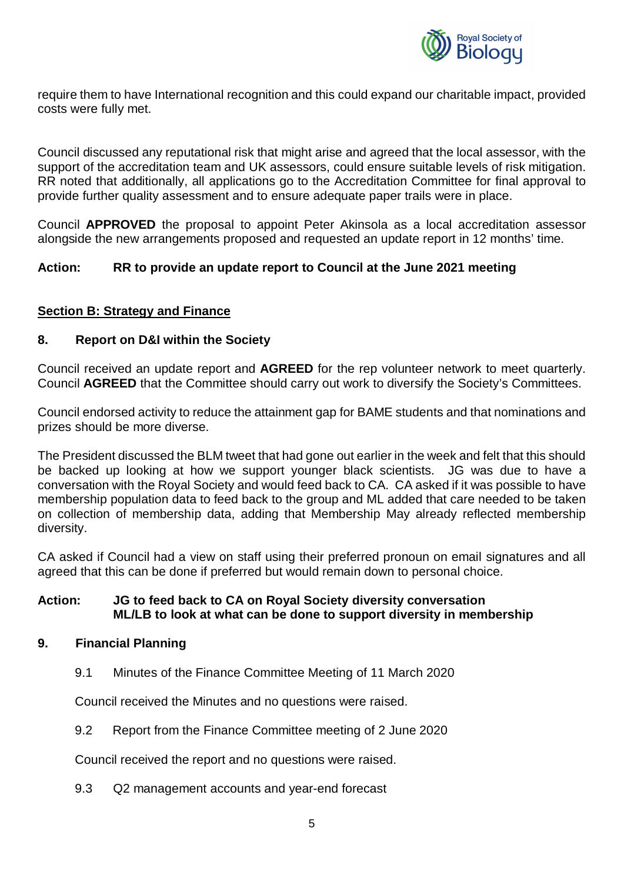

require them to have International recognition and this could expand our charitable impact, provided costs were fully met.

Council discussed any reputational risk that might arise and agreed that the local assessor, with the support of the accreditation team and UK assessors, could ensure suitable levels of risk mitigation. RR noted that additionally, all applications go to the Accreditation Committee for final approval to provide further quality assessment and to ensure adequate paper trails were in place.

Council **APPROVED** the proposal to appoint Peter Akinsola as a local accreditation assessor alongside the new arrangements proposed and requested an update report in 12 months' time.

## **Action: RR to provide an update report to Council at the June 2021 meeting**

## **Section B: Strategy and Finance**

#### **8. Report on D&I within the Society**

Council received an update report and **AGREED** for the rep volunteer network to meet quarterly. Council **AGREED** that the Committee should carry out work to diversify the Society's Committees.

Council endorsed activity to reduce the attainment gap for BAME students and that nominations and prizes should be more diverse.

The President discussed the BLM tweet that had gone out earlier in the week and felt that this should be backed up looking at how we support younger black scientists. JG was due to have a conversation with the Royal Society and would feed back to CA. CA asked if it was possible to have membership population data to feed back to the group and ML added that care needed to be taken on collection of membership data, adding that Membership May already reflected membership diversity.

CA asked if Council had a view on staff using their preferred pronoun on email signatures and all agreed that this can be done if preferred but would remain down to personal choice.

#### **Action: JG to feed back to CA on Royal Society diversity conversation ML/LB to look at what can be done to support diversity in membership**

#### **9. Financial Planning**

9.1 Minutes of the Finance Committee Meeting of 11 March 2020

Council received the Minutes and no questions were raised.

9.2 Report from the Finance Committee meeting of 2 June 2020

Council received the report and no questions were raised.

9.3 Q2 management accounts and year-end forecast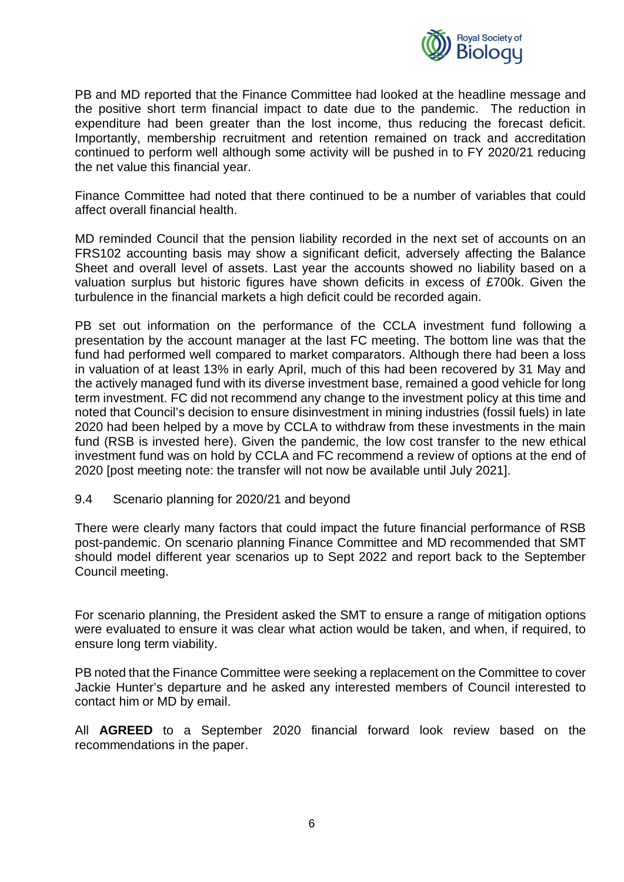

PB and MD reported that the Finance Committee had looked at the headline message and the positive short term financial impact to date due to the pandemic. The reduction in expenditure had been greater than the lost income, thus reducing the forecast deficit. Importantly, membership recruitment and retention remained on track and accreditation continued to perform well although some activity will be pushed in to FY 2020/21 reducing the net value this financial year.

Finance Committee had noted that there continued to be a number of variables that could affect overall financial health.

MD reminded Council that the pension liability recorded in the next set of accounts on an FRS102 accounting basis may show a significant deficit, adversely affecting the Balance Sheet and overall level of assets. Last year the accounts showed no liability based on a valuation surplus but historic figures have shown deficits in excess of £700k. Given the turbulence in the financial markets a high deficit could be recorded again.

PB set out information on the performance of the CCLA investment fund following a presentation by the account manager at the last FC meeting. The bottom line was that the fund had performed well compared to market comparators. Although there had been a loss in valuation of at least 13% in early April, much of this had been recovered by 31 May and the actively managed fund with its diverse investment base, remained a good vehicle for long term investment. FC did not recommend any change to the investment policy at this time and noted that Council's decision to ensure disinvestment in mining industries (fossil fuels) in late 2020 had been helped by a move by CCLA to withdraw from these investments in the main fund (RSB is invested here). Given the pandemic, the low cost transfer to the new ethical investment fund was on hold by CCLA and FC recommend a review of options at the end of 2020 [post meeting note: the transfer will not now be available until July 2021].

#### 9.4 Scenario planning for 2020/21 and beyond

There were clearly many factors that could impact the future financial performance of RSB post-pandemic. On scenario planning Finance Committee and MD recommended that SMT should model different year scenarios up to Sept 2022 and report back to the September Council meeting.

For scenario planning, the President asked the SMT to ensure a range of mitigation options were evaluated to ensure it was clear what action would be taken, and when, if required, to ensure long term viability.

PB noted that the Finance Committee were seeking a replacement on the Committee to cover Jackie Hunter's departure and he asked any interested members of Council interested to contact him or MD by email.

All **AGREED** to a September 2020 financial forward look review based on the recommendations in the paper.